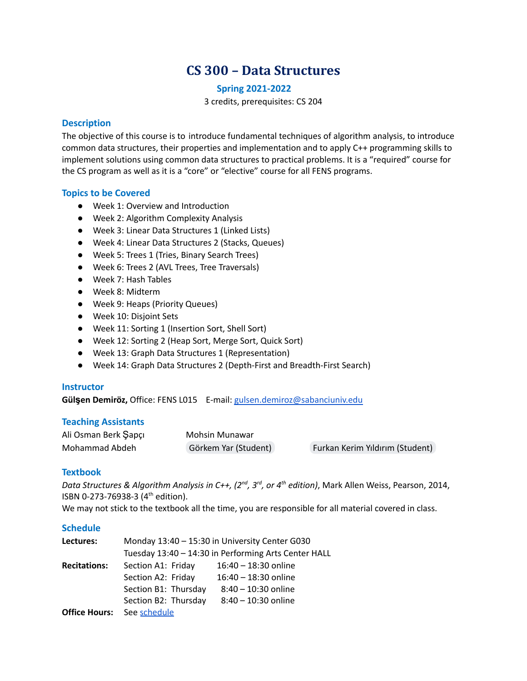# **CS 300 – Data Structures**

#### **Spring 2021-2022**

3 credits, prerequisites: CS 204

## **Description**

The objective of this course is to introduce fundamental techniques of algorithm analysis, to introduce common data structures, their properties and implementation and to apply C++ programming skills to implement solutions using common data structures to practical problems. It is a "required" course for the CS program as well as it is a "core" or "elective" course for all FENS programs.

## **Topics to be Covered**

- Week 1: Overview and Introduction
- Week 2: Algorithm Complexity Analysis
- Week 3: Linear Data Structures 1 (Linked Lists)
- Week 4: Linear Data Structures 2 (Stacks, Queues)
- Week 5: Trees 1 (Tries, Binary Search Trees)
- Week 6: Trees 2 (AVL Trees, Tree Traversals)
- Week 7: Hash Tables
- Week 8: Midterm
- Week 9: Heaps (Priority Queues)
- Week 10: Disjoint Sets
- Week 11: Sorting 1 (Insertion Sort, Shell Sort)
- Week 12: Sorting 2 (Heap Sort, Merge Sort, Quick Sort)
- Week 13: Graph Data Structures 1 (Representation)
- Week 14: Graph Data Structures 2 (Depth-First and Breadth-First Search)

#### **Instructor**

**Gülşen Demiröz,** Office: FENS L015 E-mail: [gulsen.demiroz@sabanciuniv.edu](mailto:gulsen.demiroz@sabanciuniv.edu)

## **Teaching Assistants**

| Ali Osman Berk Şapçı | Mohsin Munawar       |                                 |
|----------------------|----------------------|---------------------------------|
| Mohammad Abdeh       | Görkem Yar (Student) | Furkan Kerim Yıldırım (Student) |

## **Textbook**

Data Structures & Algorithm Analysis in C++, (2<sup>nd</sup>, 3<sup>rd</sup>, or 4<sup>th</sup> edition), Mark Allen Weiss, Pearson, 2014, ISBN 0-273-76938-3 (4<sup>th</sup> edition).

We may not stick to the textbook all the time, you are responsible for all material covered in class.

## **Schedule**

| Lectures:            | Monday 13:40 - 15:30 in University Center G030<br>Tuesday 13:40 - 14:30 in Performing Arts Center HALL |                        |
|----------------------|--------------------------------------------------------------------------------------------------------|------------------------|
|                      |                                                                                                        |                        |
| <b>Recitations:</b>  | Section A1: Friday                                                                                     | 16:40 - 18:30 online   |
|                      | Section A2: Friday                                                                                     | $16:40 - 18:30$ online |
|                      | Section B1: Thursday                                                                                   | $8:40 - 10:30$ online  |
|                      | Section B2: Thursday                                                                                   | 8:40 - 10:30 online    |
| <b>Office Hours:</b> | See schedule                                                                                           |                        |